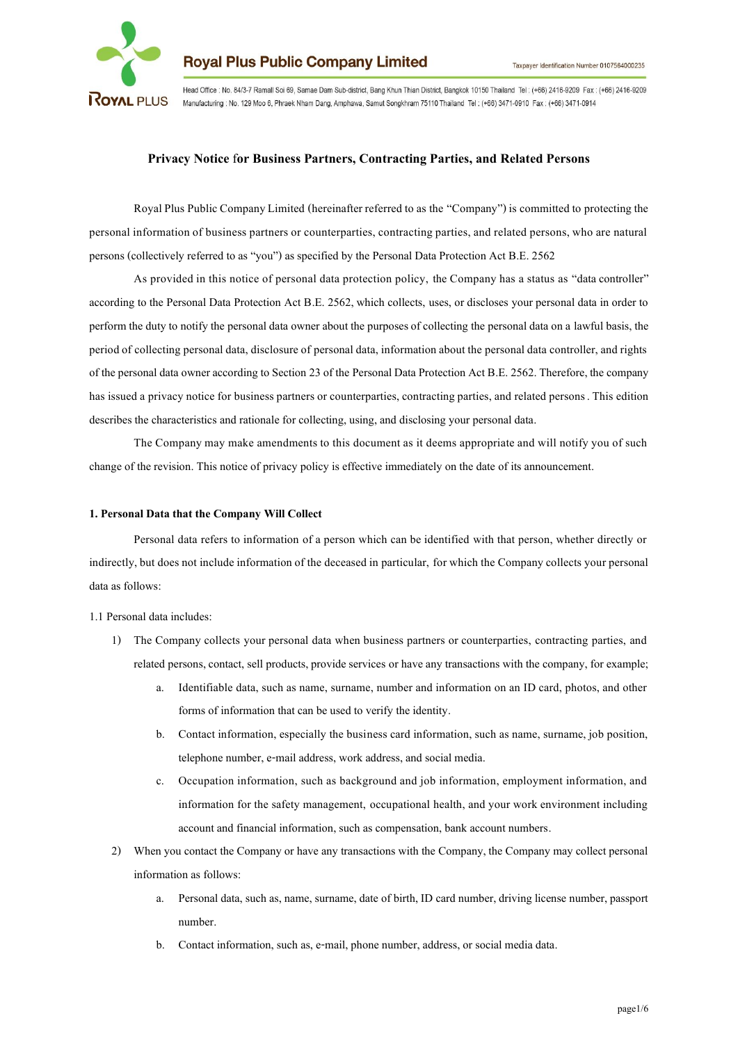

Head Office : No. 84/3-7 Ramall Soi 69, Samae Dam Sub-district, Bang Khun Thian District, Bangkok 10150 Thailand Tel: (+66) 2416-9209 Fax: (+66) 2416-9209 Manufacturing : No. 129 Moo 6, Phraek Nham Dang, Amphawa, Samut Songkhram 75110 Thailand Tel: (+66) 3471-0910 Fax: (+66) 3471-0914

# **Privacy Notice** f**or Business Partners, Contracting Parties, and Related Persons**

Royal Plus Public Company Limited (hereinafter referred to as the "Company") is committed to protecting the personal information of business partners or counterparties, contracting parties, and related persons, who are natural persons (collectively referred to as "you") as specified by the Personal Data Protection Act B.E. 2562

As provided in this notice of personal data protection policy, the Company has a status as "data controller" according to the Personal Data Protection Act B.E. 2562, which collects, uses, or discloses your personal data in order to perform the duty to notify the personal data owner about the purposes of collecting the personal data on a lawful basis, the period of collecting personal data, disclosure of personal data, information about the personal data controller, and rights of the personal data owner according to Section 23of the Personal Data Protection Act B.E. 2562. Therefore, the company has issued a privacy notice for business partners or counterparties, contracting parties, and related persons. This edition describes the characteristics and rationale for collecting, using, and disclosing your personal data.

The Company may make amendments to this document as it deems appropriate and will notify you of such change of the revision. This notice of privacy policy is effective immediately on the date of its announcement.

#### **1. Personal Data that the Company Will Collect**

Personal data refers to information of a person which can be identified with that person, whether directly or indirectly, but does not include information of the deceased in particular, for which the Company collects your personal data as follows:

1.1 Personal data includes:

- 1) The Company collects your personal data when business partners or counterparties, contracting parties, and related persons, contact, sell products, provide services or have any transactions with the company, for example;
	- a. Identifiable data, such as name, surname, number and information on an ID card, photos, and other forms of information that can be used to verify the identity.
	- b. Contact information, especially the business card information, such as name, surname, job position, telephone number, e-mail address, work address, and social media.
	- c. Occupation information, such as background and job information, employment information, and information for the safety management, occupational health, and your work environment including account and financial information, such as compensation, bank account numbers.
- 2) When you contact the Company or have any transactions with the Company, the Company may collect personal information as follows:
	- a. Personal data, such as, name, surname, date of birth, ID card number, driving license number, passport number.
	- b. Contact information, such as, e-mail, phone number, address, or social media data.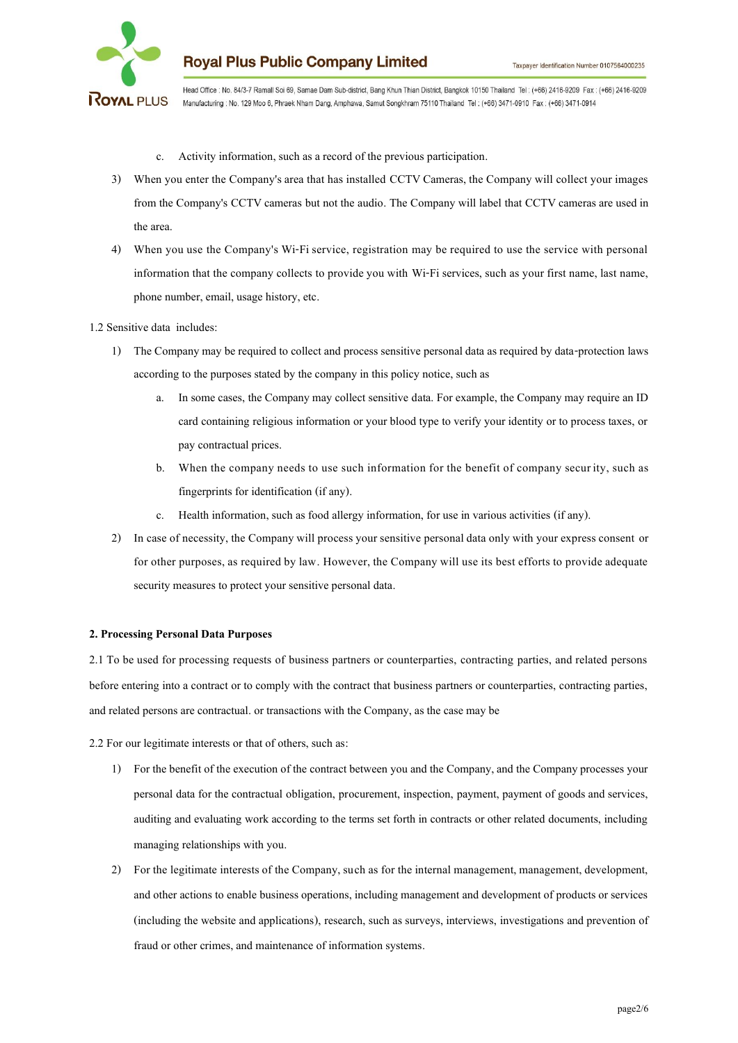

Head Office : No. 84/3-7 Ramall Soi 69, Samae Dam Sub-district, Bang Khun Thian District, Bangkok 10150 Thailand Tel: (+66) 2416-9209 Fax: (+66) 2416-9209 Manufacturing : No. 129 Moo 6, Phraek Nham Dang, Amphawa, Samut Songkhram 75110 Thailand Tel: (+66) 3471-0910 Fax: (+66) 3471-0914

- c. Activity information, such as a record of the previous participation.
- 3) When you enter the Company's area that has installed CCTV Cameras, the Company will collect your images from the Company's CCTV cameras but not the audio. The Company will label that CCTV cameras are used in the area.
- 4) When you use the Company's Wi-Fi service, registration may be required to use the service with personal information that the company collects to provide you with Wi-Fi services, such as your first name, last name, phone number, email, usage history, etc.

### 1.2 Sensitive data includes:

- 1) The Company may be required to collect and process sensitive personal data as required by data-protection laws according to the purposes stated by the company in this policy notice, such as
	- a. In some cases, the Company may collect sensitive data. For example, the Company may require an ID card containing religious information or your blood type to verify your identity or to process taxes, or pay contractual prices.
	- b. When the company needs to use such information for the benefit of company secur ity, such as fingerprints for identification (if any).
	- c. Health information, such as food allergy information, for use in various activities (if any).
- 2) In case of necessity, the Company will process your sensitive personal data only with your express consent or for other purposes, as required by law. However, the Company will use its best efforts to provide adequate security measures to protect your sensitive personal data.

### **2. Processing Personal Data Purposes**

2.1 To be used for processing requests of business partners or counterparties, contracting parties, and related persons before entering into a contract or to comply with the contract that business partners or counterparties, contracting parties, and related persons are contractual. or transactions with the Company, as the case may be

2.2 For our legitimate interests or that of others, such as:

- 1) For the benefit of the execution of the contract between you and the Company, and the Company processes your personal data for the contractual obligation, procurement, inspection, payment, payment of goods and services, auditing and evaluating work according to the terms set forth in contracts or other related documents, including managing relationships with you.
- 2) For the legitimate interests of the Company, such as for the internal management, management, development, and other actions to enable business operations, including management and development of products or services (including the website and applications), research, such as surveys, interviews, investigations and prevention of fraud or other crimes, and maintenance of information systems.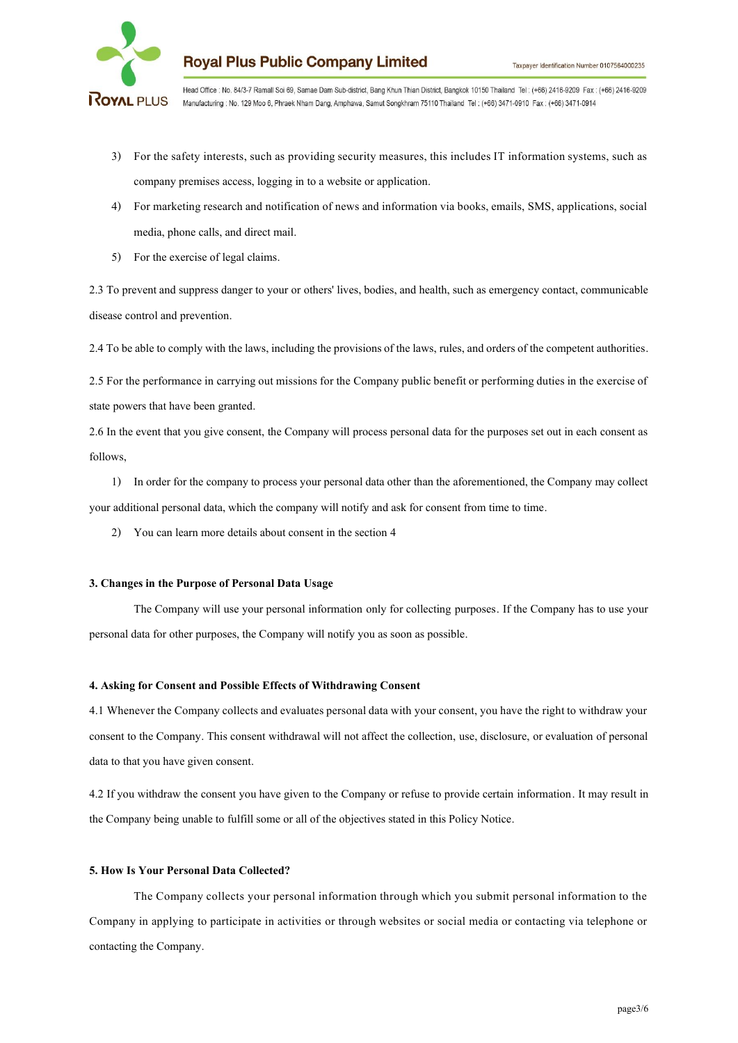

Head Office : No. 84/3-7 Ramall Soi 69, Samae Dam Sub-district, Bang Khun Thian District, Bangkok 10150 Thailand Tel: (+66) 2416-9209 Fax: (+66) 2416-9209 ROYAL PLUS Manufacturing : No. 129 Moo 6, Phraek Nham Dang, Amphawa, Samut Songkhram 75110 Thailand Tel: (+66) 3471-0910 Fax: (+66) 3471-0914

- 3) For the safety interests, such as providing security measures, this includes IT information systems, such as company premises access, logging in to a website or application.
- 4) For marketing research and notification of news and information via books, emails, SMS, applications, social media, phone calls, and direct mail.
- 5) For the exercise of legal claims.

2.3 To prevent and suppress danger to your or others' lives, bodies, and health, such as emergency contact, communicable disease control and prevention.

2.4 To be able to comply with the laws, including the provisions of the laws, rules, and orders of the competent authorities.

2.5 For the performance in carrying out missions for the Company public benefit or performing duties in the exercise of state powers that have been granted.

2.6 In the event that you give consent, the Company will process personal data for the purposes set out in each consent as follows,

1) In order for the company to process your personal data other than the aforementioned, the Company may collect your additional personal data, which the company will notify and ask for consent from time to time.

2) You can learn more details about consent in the section 4

## **3. Changes in the Purpose of Personal Data Usage**

The Company will use your personal information only for collecting purposes. If the Company has to use your personal data for other purposes, the Company will notify you as soon as possible.

## **4. Asking for Consent and Possible Effects of Withdrawing Consent**

4.1 Whenever the Company collects and evaluates personal data with your consent, you have the right to withdraw your consent to the Company. This consent withdrawal will not affect the collection, use, disclosure, or evaluation of personal data to that you have given consent.

4.2 If you withdraw the consent you have given to the Company or refuse to provide certain information. It may result in the Company being unable to fulfill some or all of the objectives stated in this Policy Notice.

### **5. How Is Your Personal Data Collected?**

The Company collects your personal information through which you submit personal information to the Company in applying to participate in activities or through websites or social media or contacting via telephone or contacting the Company.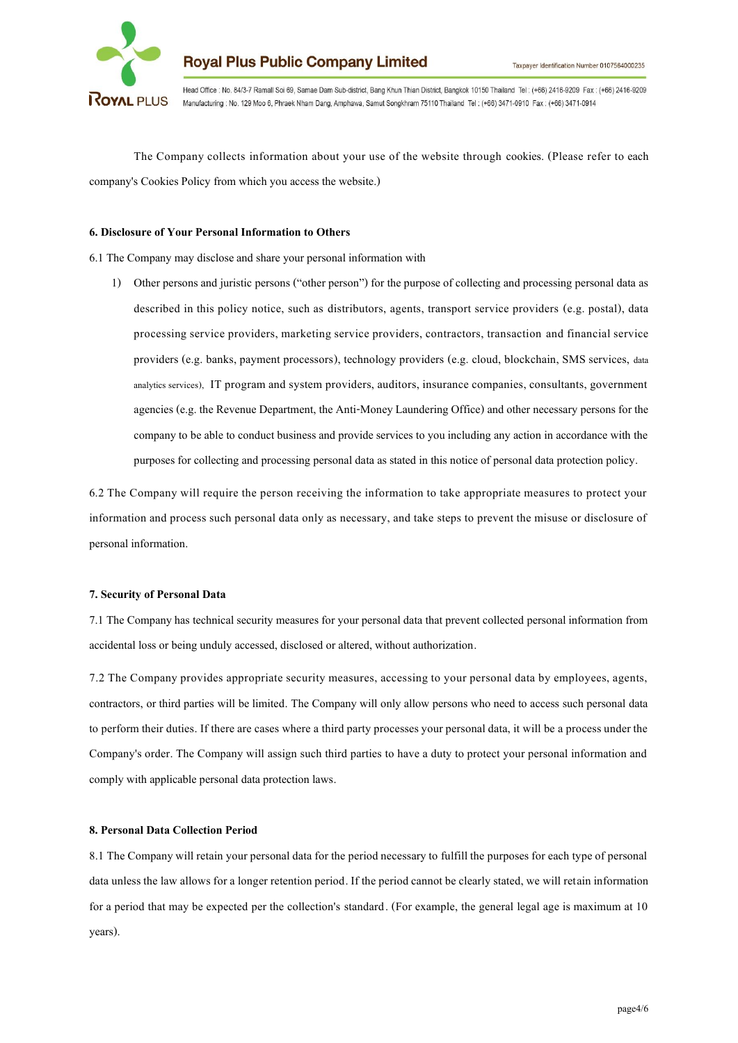

Head Office : No. 84/3-7 Ramall Soi 69, Samae Dam Sub-district, Bang Khun Thian District, Bangkok 10150 Thailand Tel: (+66) 2416-9209 Fax: (+66) 2416-9209 ROYAL PLUS Manufacturing : No. 129 Moo 6, Phraek Nham Dang, Amphawa, Samut Songkhram 75110 Thailand Tel: (+66) 3471-0910 Fax: (+66) 3471-0914

The Company collects information about your use of the website through cookies. (Please refer to each company's Cookies Policy from which you access the website.)

### **6. Disclosure of Your Personal Information to Others**

6.1 The Company may disclose and share your personal information with

1) Other persons and juristic persons ("other person") for the purpose of collecting and processing personal data as described in this policy notice, such as distributors, agents, transport service providers (e.g. postal), data processing service providers, marketing service providers, contractors, transaction and financial service providers (e.g. banks, payment processors), technology providers (e.g. cloud, blockchain, SMS services, data analytics services), IT program and system providers, auditors, insurance companies, consultants, government agencies (e.g. the Revenue Department, the Anti-Money Laundering Office) and other necessary persons for the company to be able to conduct business and provide services to you including any action in accordance with the purposes for collecting and processing personal data as stated in this notice of personal data protection policy.

6.2 The Company will require the person receiving the information to take appropriate measures to protect your information and process such personal data only as necessary, and take steps to prevent the misuse or disclosure of personal information.

### **7. Security of Personal Data**

7.1 The Company has technical security measures for your personal data that prevent collected personal information from accidental loss or being unduly accessed, disclosed or altered, without authorization.

7.2 The Company provides appropriate security measures, accessing to your personal data by employees, agents, contractors, or third parties will be limited. The Company will only allow persons who need to access such personal data to perform their duties. If there are cases where a third party processes your personal data, it will be a process under the Company's order. The Company will assign such third parties to have a duty to protect your personal information and comply with applicable personal data protection laws.

#### **8. Personal Data Collection Period**

8.1 The Company will retain your personal data for the period necessary to fulfill the purposes for each type of personal data unless the law allows for a longer retention period. If the period cannot be clearly stated, we will retain information for a period that may be expected per the collection's standard. (For example, the general legal age is maximum at 10 years).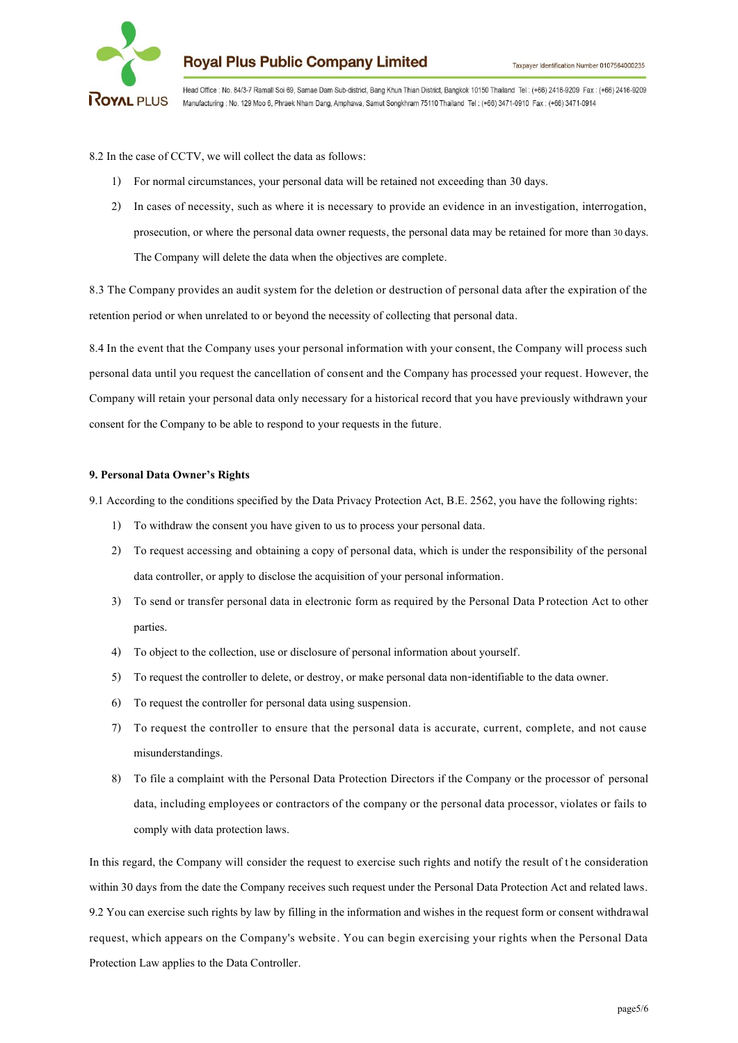

Head Office : No. 84/3-7 Ramall Soi 69, Samae Dam Sub-district, Bang Khun Thian District, Bangkok 10150 Thailand Tel: (+66) 2416-9209 Fax: (+66) 2416-9209 ROYAL PLUS Manufacturing : No. 129 Moo 6, Phraek Nham Dang, Amphawa, Samut Songkhram 75110 Thailand Tel: (+66) 3471-0910 Fax: (+66) 3471-0914

8.2 In the case of CCTV, we will collect the data as follows:

- 1) For normal circumstances, your personal data will be retained not exceeding than 30 days.
- 2) In cases of necessity, such as where it is necessary to provide an evidence in an investigation, interrogation, prosecution, or where the personal data owner requests, the personal data may be retained for more than30 days. The Company will delete the data when the objectives are complete.

8.3 The Company provides an audit system for the deletion or destruction of personal data after the expiration of the retention period or when unrelated to or beyond the necessity of collecting that personal data.

8.4 In the event that the Company uses your personal information with your consent, the Company will process such personal data until you request the cancellation of consent and the Company has processed your request. However, the Company will retain your personal data only necessary for a historical record that you have previously withdrawn your consent for the Company to be able to respond to your requests in the future.

### **9. Personal Data Owner's Rights**

9.1 According to the conditions specified by the Data Privacy Protection Act, B.E.2562, you have the following rights:

- 1) To withdraw the consent you have given to us to process your personal data.
- 2) To request accessing and obtaining a copy of personal data, which is under the responsibility of the personal data controller, or apply to disclose the acquisition of your personal information.
- 3) To send or transfer personal data in electronic form as required by the Personal Data Protection Act to other parties.
- 4) To object to the collection, use or disclosure of personal information about yourself.
- 5) To request the controller to delete, or destroy, or make personal data non-identifiable to the data owner.
- 6) To request the controller for personal data using suspension.
- 7) To request the controller to ensure that the personal data is accurate, current, complete, and not cause misunderstandings.
- 8) To file a complaint with the Personal Data Protection Directors if the Company or the processor of personal data, including employees or contractors of the company or the personal data processor, violates or fails to comply with data protection laws.

In this regard, the Company will consider the request to exercise such rights and notify the result of the consideration within 30 days from the date the Company receives such request under the Personal Data Protection Act and related laws. 9.2 You can exercise such rights by law by filling in the information and wishes in the request form or consent withdrawal request, which appears on the Company's website. You can begin exercising your rights when the Personal Data Protection Law applies to the Data Controller.